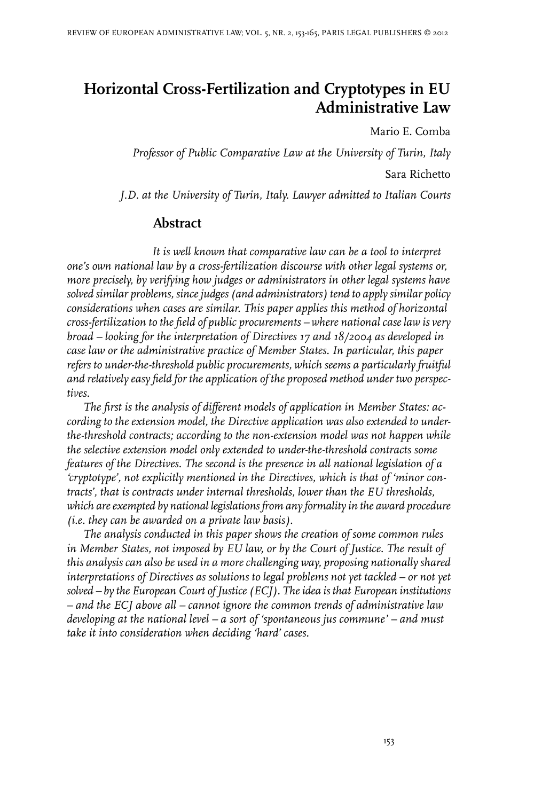# **Horizontal Cross-Fertilization and Cryptotypes in EU Administrative Law**

Mario E. Comba

*Professor of Public Comparative Law at the University of Turin, Italy* Sara Richetto

*J.D. at the University of Turin, Italy. Lawyer admitted to Italian Courts*

#### **Abstract**

*It is well known that comparative law can be a tool to interpret one's own national law by a cross-fertilization discourse with other legal systems or, more precisely, by verifying how judges or administrators in other legal systems have solved similar problems, since judges (and administrators) tend to apply similar policy considerations when cases are similar. This paper applies this method of horizontal cross-fertilization to the field of public procurements – where national case law is very broad – looking for the interpretation of Directives 17 and 18/2004 as developed in case law or the administrative practice of Member States. In particular, this paper refers to under-the-threshold public procurements, which seems a particularly fruitful and relatively easy field for the application of the proposed method under two perspectives.*

*The first is the analysis of different models of application in Member States: according to the extension model, the Directive application was also extended to underthe-threshold contracts; according to the non-extension model was not happen while the selective extension model only extended to under-the-threshold contracts some features of the Directives. The second is the presence in all national legislation of a 'cryptotype', not explicitly mentioned in the Directives, which is that of 'minor contracts', that is contracts under internal thresholds, lower than the EU thresholds, which are exempted by national legislations from any formality in the award procedure (i.e. they can be awarded on a private law basis).*

*The analysis conducted in this paper shows the creation of some common rules in Member States, not imposed by EU law, or by the Court of Justice. The result of this analysis can also be used in a more challenging way, proposing nationally shared interpretations of Directives as solutions to legal problems not yet tackled – or not yet solved* – *by the European Court of Justice (ECJ). The idea is that European institutions – and the ECJ above all – cannot ignore the common trends of administrative law developing at the national level – a sort of 'spontaneous jus commune' – and must take it into consideration when deciding 'hard' cases.*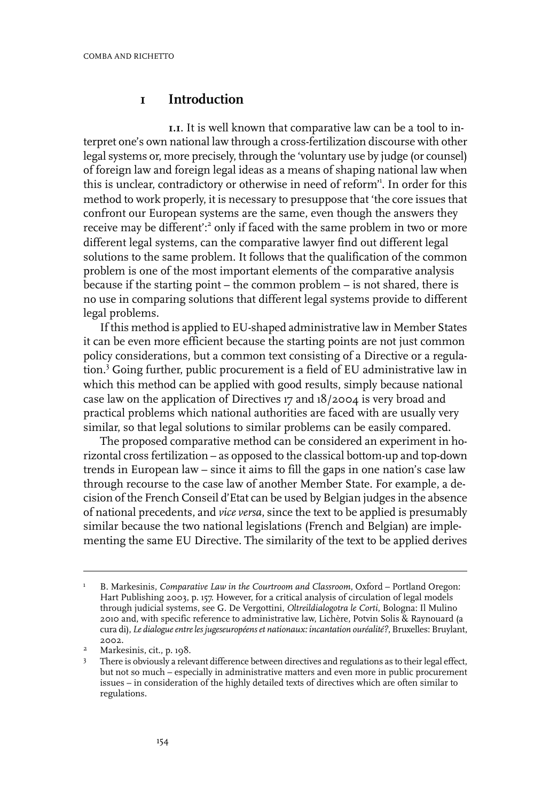#### **1 Introduction**

**1.1**. It is well known that comparative law can be a tool to interpret one's own national law through a cross-fertilization discourse with other legal systems or, more precisely, through the 'voluntary use by judge (or counsel) of foreign law and foreign legal ideas as a means of shaping national law when this is unclear, contradictory or otherwise in need of reform' 1 . In order for this method to work properly, it is necessary to presuppose that 'the core issues that confront our European systems are the same, even though the answers they receive may be different':<sup>2</sup> only if faced with the same problem in two or more different legal systems, can the comparative lawyer find out different legal solutions to the same problem. It follows that the qualification of the common problem is one of the most important elements of the comparative analysis because if the starting point – the common problem – is not shared, there is no use in comparing solutions that different legal systems provide to different legal problems.

If this method is applied to EU-shaped administrative law in Member States it can be even more efficient because the starting points are not just common policy considerations, but a common text consisting of a Directive or a regulation.<sup>3</sup> Going further, public procurement is a field of EU administrative law in which this method can be applied with good results, simply because national case law on the application of Directives 17 and 18/2004 is very broad and practical problems which national authorities are faced with are usually very similar, so that legal solutions to similar problems can be easily compared.

The proposed comparative method can be considered an experiment in horizontal cross fertilization – as opposed to the classical bottom-up and top-down trends in European law – since it aims to fill the gaps in one nation's case law through recourse to the case law of another Member State. For example, a decision of the French Conseil d'Etat can be used by Belgian judges in the absence of national precedents, and *vice versa*, since the text to be applied is presumably similar because the two national legislations (French and Belgian) are implementing the same EU Directive. The similarity of the text to be applied derives

B. Markesinis, *Comparative Law in the Courtroom and Classroom*, Oxford – Portland Oregon: Hart Publishing 2003, p. 157. However, for a critical analysis of circulation of legal models 1 through judicial systems, see G. De Vergottini, *Oltreildialogotra le Corti*, Bologna:Il Mulino 2010 and, with specific reference to administrative law, Lichère, Potvin Solis & Raynouard (a cura di), *Le dialogueentreles jugeseuropéenset nationaux: incantation ouréalité?*, Bruxelles: Bruylant, 2002.

 $4^2$  Markesinis, cit., p. 198.

There is obviously a relevant difference between directives and regulations as to their legal effect, but not so much – especially in administrative matters and even more in public procurement 3 issues – in consideration of the highly detailed texts of directives which are often similar to regulations.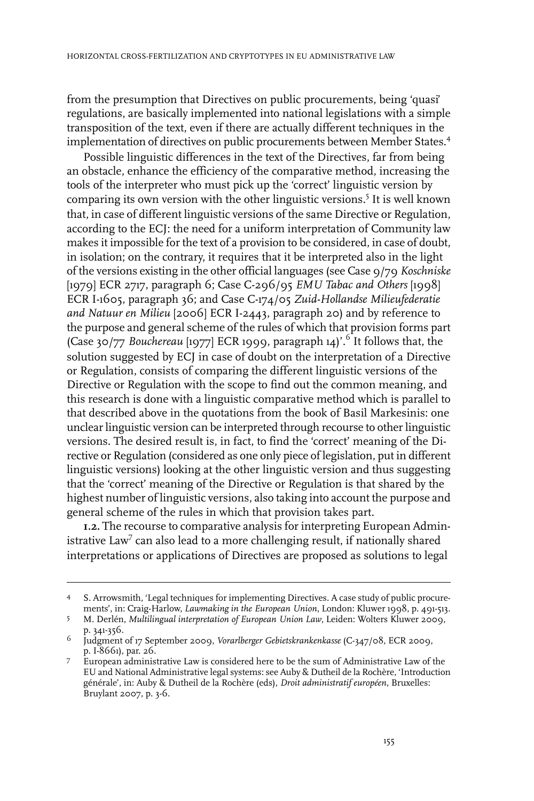from the presumption that Directives on public procurements, being 'quasi' regulations, are basically implemented into national legislations with a simple transposition of the text, even if there are actually different techniques in the implementation of directives on public procurements between Member States.<sup>4</sup>

Possible linguistic differences in the text of the Directives, far from being an obstacle, enhance the efficiency of the comparative method, increasing the tools of the interpreter who must pick up the 'correct' linguistic version by comparing its own version with the other linguistic versions.<sup>5</sup> It is well known that, in case of different linguistic versions of the same Directive or Regulation, according to the ECJ: the need for a uniform interpretation of Community law makes it impossible for the text of a provision to be considered, in case of doubt, in isolation; on the contrary, it requires that it be interpreted also in the light of the versions existing in the other official languages (see Case 9/79 *Koschniske* [1979] ECR 2717, paragraph 6; Case C-296/95 *EMU Tabac and Others* [1998] ECR I-1605, paragraph 36; and Case C-174/05 *Zuid-Hollandse Milieufederatie and Natuur en Milieu* [2006] ECR I-2443, paragraph 20) and by reference to the purpose and general scheme of the rules of which that provision forms part (Case 30/77 *Bouchereau* [1977] ECR 1999, paragraph 14)'.<sup>6</sup> It follows that, the solution suggested by ECJ in case of doubt on the interpretation of a Directive or Regulation, consists of comparing the different linguistic versions of the Directive or Regulation with the scope to find out the common meaning, and this research is done with a linguistic comparative method which is parallel to that described above in the quotations from the book of Basil Markesinis: one unclear linguistic version can be interpreted through recourse to other linguistic versions. The desired result is, in fact, to find the 'correct' meaning of the Directive or Regulation (considered as one only piece of legislation, put in different linguistic versions) looking at the other linguistic version and thus suggesting that the 'correct' meaning of the Directive or Regulation is that shared by the highest number of linguistic versions, also taking into account the purpose and general scheme of the rules in which that provision takes part.

**1.2.** The recourse to comparative analysis for interpreting European Administrative Law<sup>7</sup> can also lead to a more challenging result, if nationally shared interpretations or applications of Directives are proposed as solutions to legal

S. Arrowsmith, 'Legal techniques for implementing Directives. A case study of public procurements', in: Craig-Harlow, *Lawmaking in the European Union*, London: Kluwer 1998, p. 491-513. 4

M. Derlén, *Multilingual interpretation of European Union Law*, Leiden: Wolters Kluwer 2009, p. 341-356. 5

<sup>&</sup>lt;sup>6</sup> Judgment of 17 September 2009, *Vorarlberger Gebietskrankenkasse (*C-347/08, ECR 2009, p.I-8661), par. 26.

European administrative Law is considered here to be the sum of Administrative Law of the 7 EU and National Administrative legal systems: see Auby & Dutheil de la Rochère, 'Introduction générale', in: Auby & Dutheil de la Rochère (eds), *Droit administratif européen*, Bruxelles: Bruylant 2007, p. 3-6.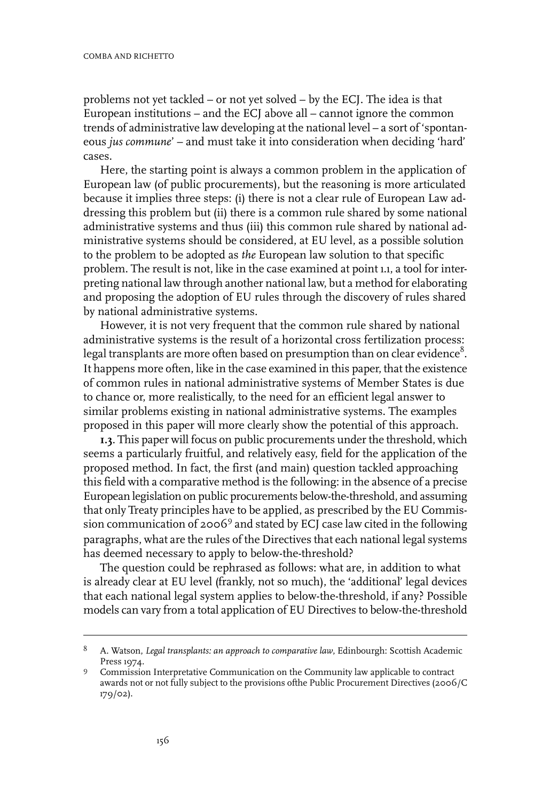problems not yet tackled – or not yet solved – by the ECJ. The idea is that European institutions – and the ECJ above all – cannot ignore the common trends of administrative law developing at the national level – a sort of 'spontaneous *jus commune*' – and must take it into consideration when deciding 'hard' cases.

Here, the starting point is always a common problem in the application of European law (of public procurements), but the reasoning is more articulated because it implies three steps: (i) there is not a clear rule of European Law addressing this problem but (ii) there is a common rule shared by some national administrative systems and thus (iii) this common rule shared by national administrative systems should be considered, at EU level, as a possible solution to the problem to be adopted as *the* European law solution to that specific problem. The result is not, like in the case examined at point 1.1, a tool for interpreting national law through another national law, but a method for elaborating and proposing the adoption of EU rules through the discovery of rules shared by national administrative systems.

However, it is not very frequent that the common rule shared by national administrative systems is the result of a horizontal cross fertilization process: legal transplants are more often based on presumption than on clear evidence $^8.$ It happens more often, like in the case examined in this paper, that the existence of common rules in national administrative systems of Member States is due to chance or, more realistically, to the need for an efficient legal answer to similar problems existing in national administrative systems. The examples proposed in this paper will more clearly show the potential of this approach.

**1.3**. This paper will focus on public procurements underthe threshold, which seems a particularly fruitful, and relatively easy, field for the application of the proposed method. In fact, the first (and main) question tackled approaching this field with a comparative method is the following: in the absence of a precise European legislation on public procurements below-the-threshold, and assuming that only Treaty principles have to be applied, as prescribed by the EU Commission communication of 2006<sup>9</sup> and stated by ECJ case law cited in the following paragraphs, what are the rules of the Directives that each national legal systems has deemed necessary to apply to below-the-threshold?

The question could be rephrased as follows: what are, in addition to what is already clear at EU level (frankly, not so much), the 'additional' legal devices that each national legal system applies to below-the-threshold, if any? Possible models can vary from a total application of EU Directives to below-the-threshold

A. Watson, *Legal transplants: an approach to comparative law*, Edinbourgh: Scottish Academic Press 1974. 8

Commission Interpretative Communication on the Community law applicable to contract 9 awards not or not fully subject to the provisions ofthe Public Procurement Directives (2006/C 179/02).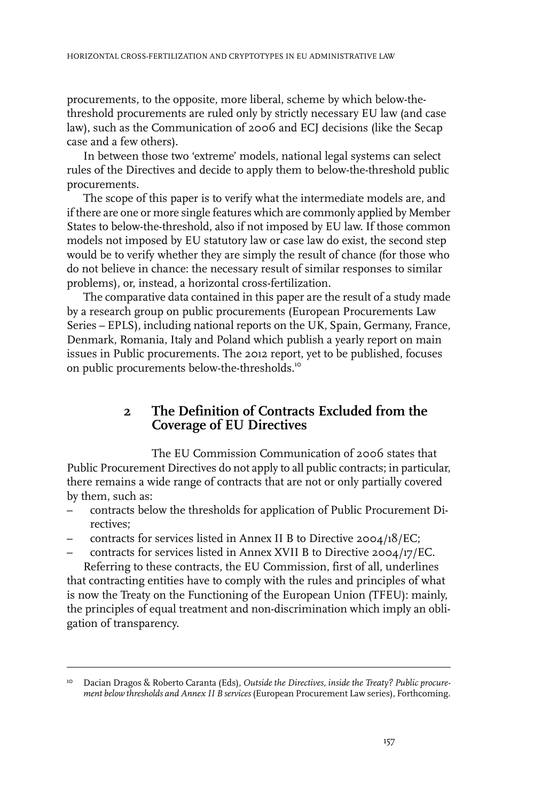procurements, to the opposite, more liberal, scheme by which below-thethreshold procurements are ruled only by strictly necessary EU law (and case law), such as the Communication of 2006 and ECJ decisions (like the Secap case and a few others).

In between those two 'extreme' models, national legal systems can select rules of the Directives and decide to apply them to below-the-threshold public procurements.

The scope of this paper is to verify what the intermediate models are, and if there are one or more single features which are commonly applied by Member States to below-the-threshold, also if not imposed by EU law. If those common models not imposed by EU statutory law or case law do exist, the second step would be to verify whether they are simply the result of chance (for those who do not believe in chance: the necessary result of similar responses to similar problems), or, instead, a horizontal cross-fertilization.

The comparative data contained in this paper are the result of a study made by a research group on public procurements (European Procurements Law Series – EPLS), including national reports on the UK, Spain, Germany, France, Denmark, Romania, Italy and Poland which publish a yearly report on main issues in Public procurements. The 2012 report, yet to be published, focuses on public procurements below-the-thresholds.<sup>10</sup>

#### **2 The Definition of Contracts Excluded from the Coverage of EU Directives**

The EU Commission Communication of 2006 states that Public Procurement Directives do not apply to all public contracts; in particular, there remains a wide range of contracts that are not or only partially covered by them, such as:

- contracts below the thresholds for application of Public Procurement Directives;
- contracts for services listed in Annex II B to Directive 2004/18/EC;
- contracts for services listed in Annex XVII B to Directive 2004/17/EC. Referring to these contracts, the EU Commission, first of all, underlines

that contracting entities have to comply with the rules and principles of what is now the Treaty on the Functioning of the European Union (TFEU): mainly, the principles of equal treatment and non-discrimination which imply an obligation of transparency.

Dacian Dragos & Roberto Caranta (Eds), *Outside the Directives, inside the Treaty? Public procurement below thresholds and Annex II B services* (European Procurement Law series), Forthcoming. 10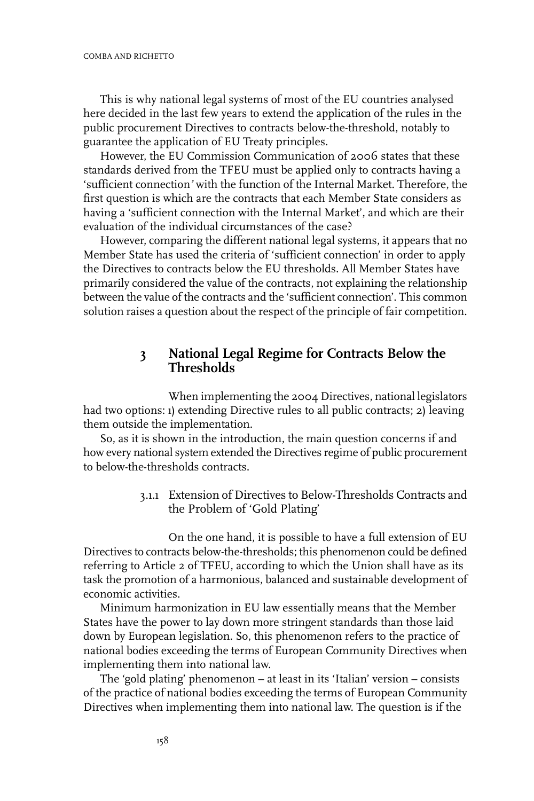This is why national legal systems of most of the EU countries analysed here decided in the last few years to extend the application of the rules in the public procurement Directives to contracts below-the-threshold, notably to guarantee the application of EU Treaty principles.

However, the EU Commission Communication of 2006 states that these standards derived from the TFEU must be applied only to contracts having a 'sufficient connection*'* with the function of the Internal Market. Therefore, the first question is which are the contracts that each Member State considers as having a 'sufficient connection with the Internal Market', and which are their evaluation of the individual circumstances of the case?

However, comparing the different national legal systems, it appears that no Member State has used the criteria of 'sufficient connection' in order to apply the Directives to contracts below the EU thresholds. All Member States have primarily considered the value of the contracts, not explaining the relationship between the value of the contracts and the 'sufficient connection'. This common solution raises a question about the respect of the principle of fair competition.

### **3 National Legal Regime for Contracts Below the Thresholds**

When implementing the 2004 Directives, national legislators had two options: 1) extending Directive rules to all public contracts; 2) leaving them outside the implementation.

So, as it is shown in the introduction, the main question concerns if and how every national system extended the Directives regime of public procurement to below-the-thresholds contracts.

> 3.1.1 Extension of Directives to Below-Thresholds Contracts and the Problem of 'Gold Plating'

On the one hand, it is possible to have a full extension of EU Directives to contracts below-the-thresholds; this phenomenon could be defined referring to Article 2 of TFEU, according to which the Union shall have as its task the promotion of a harmonious, balanced and sustainable development of economic activities.

Minimum harmonization in EU law essentially means that the Member States have the power to lay down more stringent standards than those laid down by European legislation. So, this phenomenon refers to the practice of national bodies exceeding the terms of European Community Directives when implementing them into national law.

The 'gold plating' phenomenon – at least in its 'Italian' version – consists of the practice of national bodies exceeding the terms of European Community Directives when implementing them into national law. The question is if the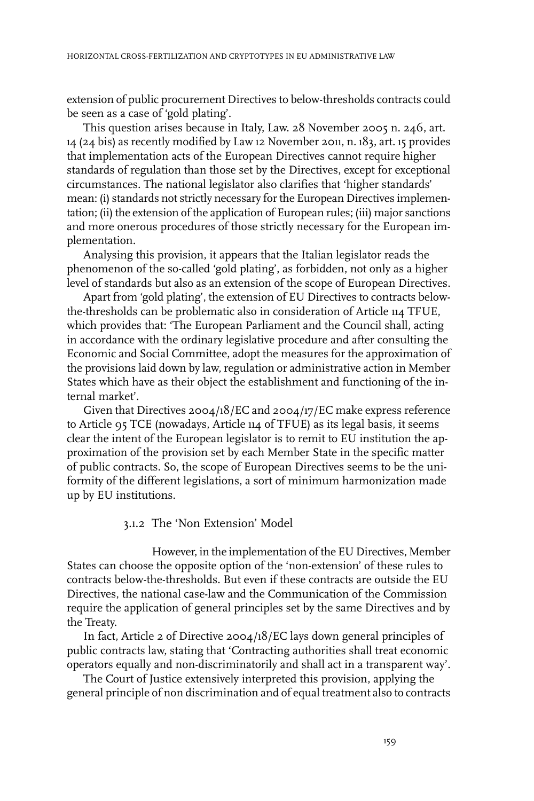extension of public procurement Directives to below-thresholds contracts could be seen as a case of 'gold plating'.

This question arises because in Italy, Law. 28 November 2005 n. 246, art. 14 (24 bis) as recently modified by Law 12 November 2011, n. 183, art. 15 provides that implementation acts of the European Directives cannot require higher standards of regulation than those set by the Directives, except for exceptional circumstances. The national legislator also clarifies that 'higher standards' mean: (i) standards not strictly necessary forthe European Directives implementation; (ii) the extension of the application of European rules; (iii) major sanctions and more onerous procedures of those strictly necessary for the European implementation.

Analysing this provision, it appears that the Italian legislator reads the phenomenon of the so-called 'gold plating', as forbidden, not only as a higher level of standards but also as an extension of the scope of European Directives.

Apart from 'gold plating', the extension of EU Directives to contracts belowthe-thresholds can be problematic also in consideration of Article 114 TFUE, which provides that: 'The European Parliament and the Council shall, acting in accordance with the ordinary legislative procedure and after consulting the Economic and Social Committee, adopt the measures for the approximation of the provisions laid down by law, regulation or administrative action in Member States which have as their object the establishment and functioning of the internal market'.

Given that Directives 2004/18/EC and 2004/17/EC make express reference to Article 95 TCE (nowadays, Article 114 of TFUE) as its legal basis, it seems clear the intent of the European legislator is to remit to EU institution the approximation of the provision set by each Member State in the specific matter of public contracts. So, the scope of European Directives seems to be the uniformity of the different legislations, a sort of minimum harmonization made up by EU institutions.

#### 3.1.2 The 'Non Extension' Model

However, in the implementation of the EU Directives, Member States can choose the opposite option of the 'non-extension' of these rules to contracts below-the-thresholds. But even if these contracts are outside the EU Directives, the national case-law and the Communication of the Commission require the application of general principles set by the same Directives and by the Treaty.

In fact, Article 2 of Directive 2004/18/EC lays down general principles of public contracts law, stating that 'Contracting authorities shall treat economic operators equally and non-discriminatorily and shall act in a transparent way'.

The Court of Justice extensively interpreted this provision, applying the general principle of non discrimination and of equal treatment also to contracts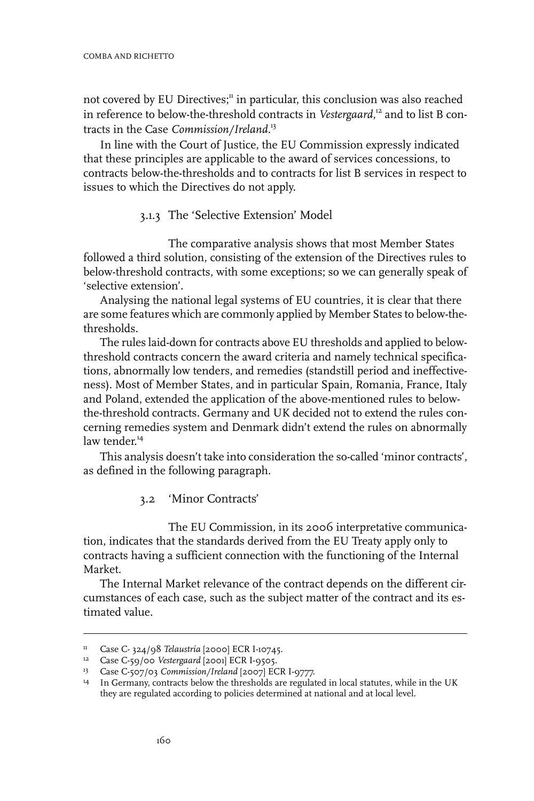not covered by EU Directives;<sup>11</sup> in particular, this conclusion was also reached in reference to below-the-threshold contracts in *Vestergaard*, <sup>12</sup> and to list B contracts in the Case *Commission/Ireland.*<sup>13</sup>

In line with the Court of Justice, the EU Commission expressly indicated that these principles are applicable to the award of services concessions, to contracts below-the-thresholds and to contracts for list B services in respect to issues to which the Directives do not apply.

3.1.3 The 'Selective Extension' Model

The comparative analysis shows that most Member States followed a third solution, consisting of the extension of the Directives rules to below-threshold contracts, with some exceptions; so we can generally speak of 'selective extension'.

Analysing the national legal systems of EU countries, it is clear that there are some features which are commonly applied by Member States to below-thethresholds.

The rules laid-down for contracts above EU thresholds and applied to belowthreshold contracts concern the award criteria and namely technical specifications, abnormally low tenders, and remedies (standstill period and ineffectiveness). Most of Member States, and in particular Spain, Romania, France, Italy and Poland, extended the application of the above-mentioned rules to belowthe-threshold contracts. Germany and UK decided not to extend the rules concerning remedies system and Denmark didn't extend the rules on abnormally law tender. 14

This analysis doesn't take into consideration the so-called 'minor contracts', as defined in the following paragraph.

3.2 'Minor Contracts'

The EU Commission, in its 2006 interpretative communication, indicates that the standards derived from the EU Treaty apply only to contracts having a sufficient connection with the functioning of the Internal Market.

The Internal Market relevance of the contract depends on the different circumstances of each case, such as the subject matter of the contract and its estimated value.

<sup>&</sup>lt;sup>11</sup> Case C- 324/98 *Telaustria* [2000] ECR I-10745.

<sup>&</sup>lt;sup>12</sup> Case C-59/00 *Vestergaard* [2001] ECR I-9505.

<sup>&</sup>lt;sup>13</sup> Case C-507/03 *Commission/Ireland* [2007] ECR I-9777.

<sup>&</sup>lt;sup>14</sup> In Germany, contracts below the thresholds are regulated in local statutes, while in the UK they are regulated according to policies determined at national and at local level.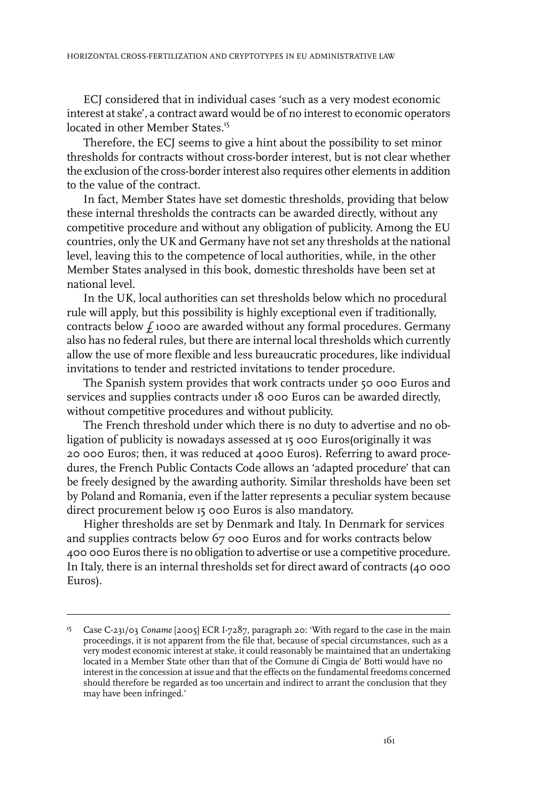ECJ considered that in individual cases 'such as a very modest economic interest at stake', a contract award would be of no interest to economic operators located in other Member States.<sup>15</sup>

Therefore, the ECJ seems to give a hint about the possibility to set minor thresholds for contracts without cross-border interest, but is not clear whether the exclusion of the cross-border interest also requires other elements in addition to the value of the contract.

In fact, Member States have set domestic thresholds, providing that below these internal thresholds the contracts can be awarded directly, without any competitive procedure and without any obligation of publicity. Among the EU countries, only the UK and Germany have not set any thresholds at the national level, leaving this to the competence of local authorities, while, in the other Member States analysed in this book, domestic thresholds have been set at national level.

In the UK, local authorities can set thresholds below which no procedural rule will apply, but this possibility is highly exceptional even if traditionally, contracts below  $f_1$  1000 are awarded without any formal procedures. Germany also has no federal rules, but there are internal local thresholds which currently allow the use of more flexible and less bureaucratic procedures, like individual invitations to tender and restricted invitations to tender procedure.

The Spanish system provides that work contracts under 50 000 Euros and services and supplies contracts under 18 000 Euros can be awarded directly, without competitive procedures and without publicity.

The French threshold under which there is no duty to advertise and no obligation of publicity is nowadays assessed at 15 000 Euros(originally it was 20 000 Euros; then, it was reduced at 4000 Euros). Referring to award procedures, the French Public Contacts Code allows an 'adapted procedure' that can be freely designed by the awarding authority. Similar thresholds have been set by Poland and Romania, even if the latter represents a peculiar system because direct procurement below 15 000 Euros is also mandatory.

Higher thresholds are set by Denmark and Italy. In Denmark for services and supplies contracts below 67 000 Euros and for works contracts below 400 000 Euros there is no obligation to advertise or use a competitive procedure. In Italy, there is an internal thresholds set for direct award of contracts (40 000 Euros).

<sup>&</sup>lt;sup>15</sup> Case C-231/03 *Coname* [2005] ECR I-7287, paragraph 20: 'With regard to the case in the main proceedings, it is not apparent from the file that, because of special circumstances, such as a very modest economic interest at stake, it could reasonably be maintained that an undertaking located in a Member State other than that of the Comune di Cingia de' Botti would have no interest in the concession at issue and that the effects on the fundamental freedoms concerned should therefore be regarded as too uncertain and indirect to arrant the conclusion that they may have been infringed.'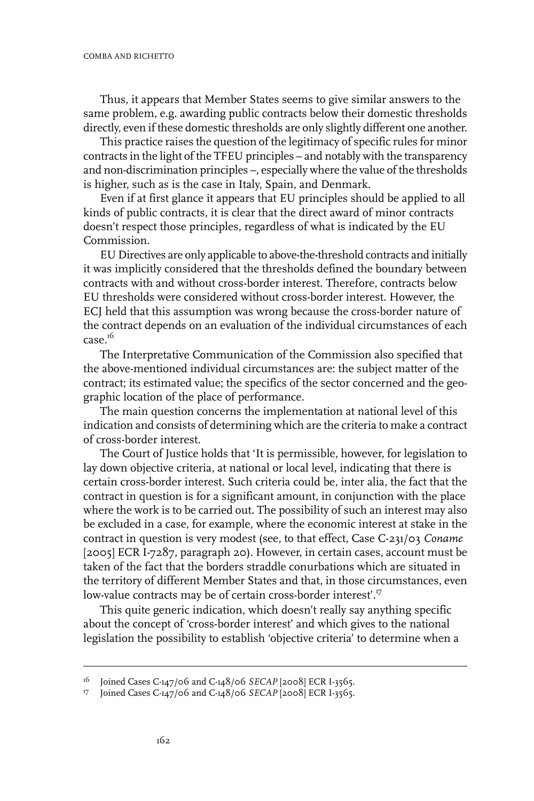Thus, it appears that Member States seems to give similar answers to the same problem, e.g. awarding public contracts below their domestic thresholds directly, even if these domestic thresholds are only slightly different one another.

This practice raises the question of the legitimacy of specific rules for minor contracts in the light of the TFEU principles – and notably with the transparency and non-discrimination principles –, especially where the value of the thresholds is higher, such as is the case in Italy, Spain, and Denmark.

Even if at first glance it appears that EU principles should be applied to all kinds of public contracts, it is clear that the direct award of minor contracts doesn't respect those principles, regardless of what is indicated by the EU Commission.

EU Directives are only applicable to above-the-threshold contracts and initially it was implicitly considered that the thresholds defined the boundary between contracts with and without cross-border interest. Therefore, contracts below EU thresholds were considered without cross-border interest. However, the ECJ held that this assumption was wrong because the cross-border nature of the contract depends on an evaluation of the individual circumstances of each  $case^{16}$ 

The Interpretative Communication of the Commission also specified that the above-mentioned individual circumstances are: the subject matter of the contract; its estimated value; the specifics of the sector concerned and the geographic location of the place of performance.

The main question concerns the implementation at national level of this indication and consists of determining which are the criteria to make a contract of cross-border interest.

The Court of Justice holds that 'It is permissible, however, for legislation to lay down objective criteria, at national or local level, indicating that there is certain cross-border interest. Such criteria could be, inter alia, the fact that the contract in question is for a significant amount, in conjunction with the place where the work is to be carried out. The possibility of such an interest may also be excluded in a case, for example, where the economic interest at stake in the contract in question is very modest (see, to that effect, Case C-231/03 *Coname* [2005] ECR I-7287, paragraph 20). However, in certain cases, account must be taken of the fact that the borders straddle conurbations which are situated in the territory of different Member States and that, in those circumstances, even low-value contracts may be of certain cross-border interest'.<sup>17</sup>

This quite generic indication, which doesn't really say anything specific about the concept of 'cross-border interest' and which gives to the national legislation the possibility to establish 'objective criteria' to determine when a

<sup>&</sup>lt;sup>16</sup> Joined Cases C-147/06 and C-148/06 *SECAP* [2008] ECR I-3565.<br><sup>17</sup> Ioined Cases C-147/06 and C-148/06 *SECAP* [2008] ECR L2565

Joined Cases C-147/06 and C-148/06 *SECAP* [2008] ECR I-3565.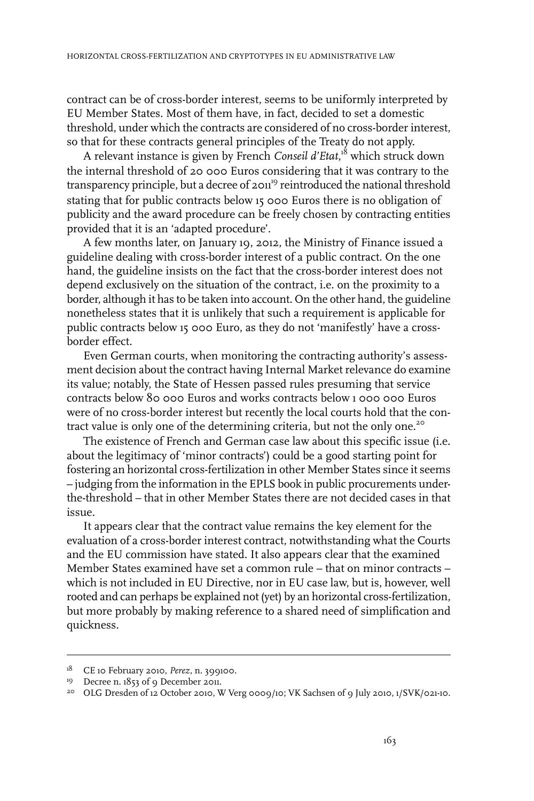contract can be of cross-border interest, seems to be uniformly interpreted by EU Member States. Most of them have, in fact, decided to set a domestic threshold, under which the contracts are considered of no cross-border interest, so that for these contracts general principles of the Treaty do not apply.

A relevant instance is given by French *Conseil d'Etat*, <sup>18</sup> which struck down the internal threshold of 20 000 Euros considering that it was contrary to the transparency principle, but a decree of 2011<sup>19</sup> reintroduced the national threshold stating that for public contracts below 15 000 Euros there is no obligation of publicity and the award procedure can be freely chosen by contracting entities provided that it is an 'adapted procedure'.

A few months later, on January 19, 2012, the Ministry of Finance issued a guideline dealing with cross-border interest of a public contract. On the one hand, the guideline insists on the fact that the cross-border interest does not depend exclusively on the situation of the contract, i.e. on the proximity to a border, although it has to be taken into account. On the other hand, the guideline nonetheless states that it is unlikely that such a requirement is applicable for public contracts below 15 000 Euro, as they do not 'manifestly' have a crossborder effect.

Even German courts, when monitoring the contracting authority's assessment decision about the contract having Internal Market relevance do examine its value; notably, the State of Hessen passed rules presuming that service contracts below 80 000 Euros and works contracts below 1 000 000 Euros were of no cross-border interest but recently the local courts hold that the contract value is only one of the determining criteria, but not the only one.<sup>20</sup>

The existence of French and German case law about this specific issue (i.e. about the legitimacy of 'minor contracts') could be a good starting point for fostering an horizontal cross-fertilization in other Member States since it seems – judging from the information in the EPLS book in public procurements underthe-threshold – that in other Member States there are not decided cases in that issue.

It appears clear that the contract value remains the key element for the evaluation of a cross-border interest contract, notwithstanding what the Courts and the EU commission have stated. It also appears clear that the examined Member States examined have set a common rule – that on minor contracts – which is not included in EU Directive, nor in EU case law, but is, however, well rooted and can perhaps be explained not (yet) by an horizontal cross-fertilization, but more probably by making reference to a shared need of simplification and quickness.

<sup>&</sup>lt;sup>18</sup> CE 10 February 2010, *Perez*, n. 399100.

<sup>&</sup>lt;sup>19</sup> Decree n. 1853 of 9 December 2011.

<sup>&</sup>lt;sup>20</sup> OLG Dresden of 12 October 2010, W Verg 0009/10; VK Sachsen of 9 July 2010, 1/SVK/021-10.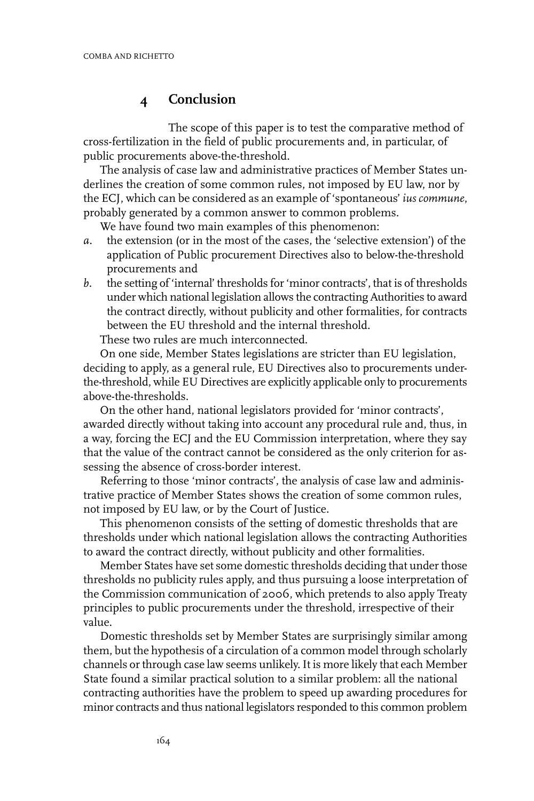## **4 Conclusion**

The scope of this paper is to test the comparative method of cross-fertilization in the field of public procurements and, in particular, of public procurements above-the-threshold.

The analysis of case law and administrative practices of Member States underlines the creation of some common rules, not imposed by EU law, nor by the ECJ, which can be considered as an example of 'spontaneous' *ius commune*, probably generated by a common answer to common problems.

We have found two main examples of this phenomenon:

- *a.* the extension (or in the most of the cases, the 'selective extension') of the application of Public procurement Directives also to below-the-threshold procurements and
- *b.* the setting of 'internal' thresholds for'minor contracts', that is of thresholds under which national legislation allows the contracting Authorities to award the contract directly, without publicity and other formalities, for contracts between the EU threshold and the internal threshold.

These two rules are much interconnected.

On one side, Member States legislations are stricter than EU legislation, deciding to apply, as a general rule, EU Directives also to procurements underthe-threshold, while EU Directives are explicitly applicable only to procurements above-the-thresholds.

On the other hand, national legislators provided for 'minor contracts', awarded directly without taking into account any procedural rule and, thus, in a way, forcing the ECJ and the EU Commission interpretation, where they say that the value of the contract cannot be considered as the only criterion for assessing the absence of cross-border interest.

Referring to those 'minor contracts', the analysis of case law and administrative practice of Member States shows the creation of some common rules, not imposed by EU law, or by the Court of Justice.

This phenomenon consists of the setting of domestic thresholds that are thresholds under which national legislation allows the contracting Authorities to award the contract directly, without publicity and other formalities.

Member States have set some domestic thresholds deciding that under those thresholds no publicity rules apply, and thus pursuing a loose interpretation of the Commission communication of 2006, which pretends to also apply Treaty principles to public procurements under the threshold, irrespective of their value.

Domestic thresholds set by Member States are surprisingly similar among them, but the hypothesis of a circulation of a common model through scholarly channels or through case law seems unlikely. It is more likely that each Member State found a similar practical solution to a similar problem: all the national contracting authorities have the problem to speed up awarding procedures for minor contracts and thus national legislators responded to this common problem